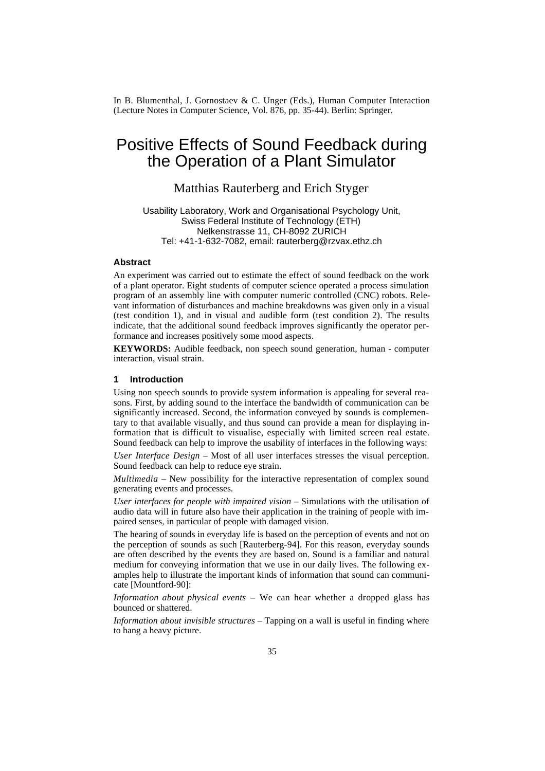In B. Blumenthal, J. Gornostaev & C. Unger (Eds.), Human Computer Interaction (Lecture Notes in Computer Science, Vol. 876, pp. 35-44). Berlin: Springer.

# Positive Effects of Sound Feedback during the Operation of a Plant Simulator

## Matthias Rauterberg and Erich Styger

Usability Laboratory, Work and Organisational Psychology Unit, Swiss Federal Institute of Technology (ETH) Nelkenstrasse 11, CH-8092 ZURICH Tel: +41-1-632-7082, email: rauterberg@rzvax.ethz.ch

## **Abstract**

An experiment was carried out to estimate the effect of sound feedback on the work of a plant operator. Eight students of computer science operated a process simulation program of an assembly line with computer numeric controlled (CNC) robots. Relevant information of disturbances and machine breakdowns was given only in a visual (test condition 1), and in visual and audible form (test condition 2). The results indicate, that the additional sound feedback improves significantly the operator performance and increases positively some mood aspects.

**KEYWORDS:** Audible feedback, non speech sound generation, human - computer interaction, visual strain.

## **1 Introduction**

Using non speech sounds to provide system information is appealing for several reasons. First, by adding sound to the interface the bandwidth of communication can be significantly increased. Second, the information conveyed by sounds is complementary to that available visually, and thus sound can provide a mean for displaying information that is difficult to visualise, especially with limited screen real estate. Sound feedback can help to improve the usability of interfaces in the following ways:

*User Interface Design* – Most of all user interfaces stresses the visual perception. Sound feedback can help to reduce eye strain.

*Multimedia* – New possibility for the interactive representation of complex sound generating events and processes.

*User interfaces for people with impaired vision* – Simulations with the utilisation of audio data will in future also have their application in the training of people with impaired senses, in particular of people with damaged vision.

The hearing of sounds in everyday life is based on the perception of events and not on the perception of sounds as such [Rauterberg-94]. For this reason, everyday sounds are often described by the events they are based on. Sound is a familiar and natural medium for conveying information that we use in our daily lives. The following examples help to illustrate the important kinds of information that sound can communicate [Mountford-90]:

*Information about physical events* – We can hear whether a dropped glass has bounced or shattered.

*Information about invisible structures* – Tapping on a wall is useful in finding where to hang a heavy picture.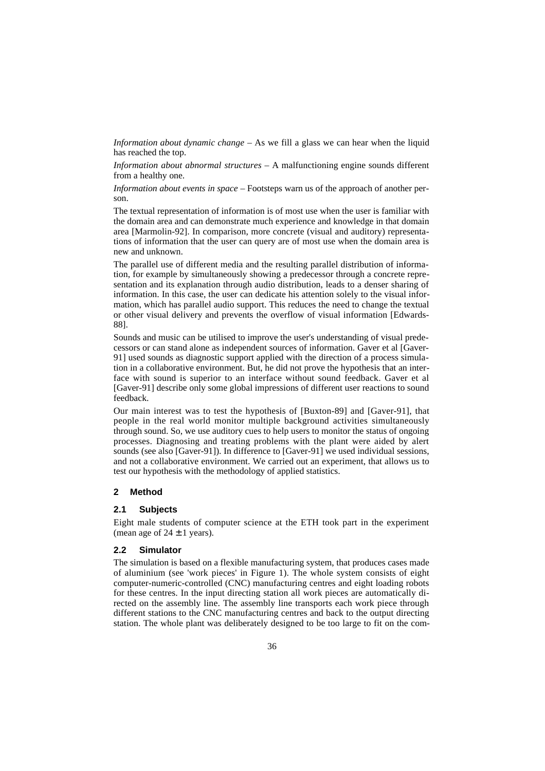*Information about dynamic change* – As we fill a glass we can hear when the liquid has reached the top.

*Information about abnormal structures* – A malfunctioning engine sounds different from a healthy one.

*Information about events in space* – Footsteps warn us of the approach of another person.

The textual representation of information is of most use when the user is familiar with the domain area and can demonstrate much experience and knowledge in that domain area [Marmolin-92]. In comparison, more concrete (visual and auditory) representations of information that the user can query are of most use when the domain area is new and unknown.

The parallel use of different media and the resulting parallel distribution of information, for example by simultaneously showing a predecessor through a concrete representation and its explanation through audio distribution, leads to a denser sharing of information. In this case, the user can dedicate his attention solely to the visual information, which has parallel audio support. This reduces the need to change the textual or other visual delivery and prevents the overflow of visual information [Edwards-88].

Sounds and music can be utilised to improve the user's understanding of visual predecessors or can stand alone as independent sources of information. Gaver et al [Gaver-91] used sounds as diagnostic support applied with the direction of a process simulation in a collaborative environment. But, he did not prove the hypothesis that an interface with sound is superior to an interface without sound feedback. Gaver et al [Gaver-91] describe only some global impressions of different user reactions to sound feedback.

Our main interest was to test the hypothesis of [Buxton-89] and [Gaver-91], that people in the real world monitor multiple background activities simultaneously through sound. So, we use auditory cues to help users to monitor the status of ongoing processes. Diagnosing and treating problems with the plant were aided by alert sounds (see also [Gaver-91]). In difference to [Gaver-91] we used individual sessions, and not a collaborative environment. We carried out an experiment, that allows us to test our hypothesis with the methodology of applied statistics.

### **2 Method**

## **2.1 Subjects**

Eight male students of computer science at the ETH took part in the experiment (mean age of  $24 \pm 1$  years).

#### **2.2 Simulator**

The simulation is based on a flexible manufacturing system, that produces cases made of aluminium (see 'work pieces' in Figure 1). The whole system consists of eight computer-numeric-controlled (CNC) manufacturing centres and eight loading robots for these centres. In the input directing station all work pieces are automatically directed on the assembly line. The assembly line transports each work piece through different stations to the CNC manufacturing centres and back to the output directing station. The whole plant was deliberately designed to be too large to fit on the com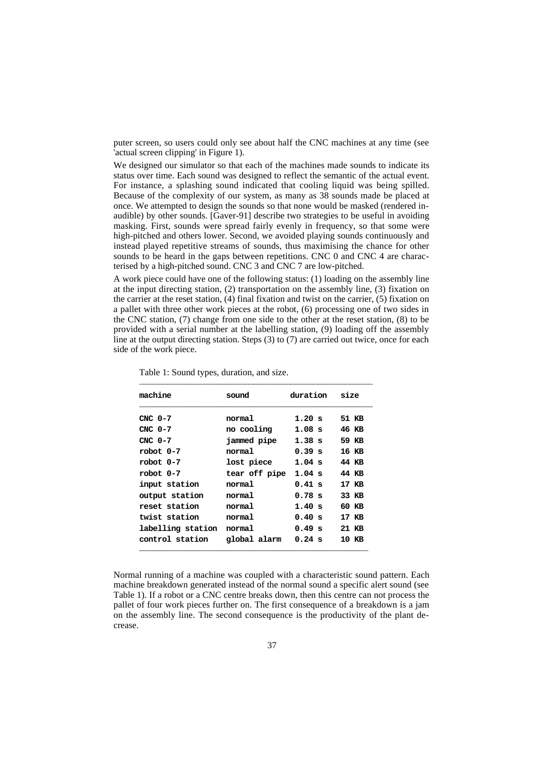puter screen, so users could only see about half the CNC machines at any time (see 'actual screen clipping' in Figure 1).

We designed our simulator so that each of the machines made sounds to indicate its status over time. Each sound was designed to reflect the semantic of the actual event. For instance, a splashing sound indicated that cooling liquid was being spilled. Because of the complexity of our system, as many as 38 sounds made be placed at once. We attempted to design the sounds so that none would be masked (rendered inaudible) by other sounds. [Gaver-91] describe two strategies to be useful in avoiding masking. First, sounds were spread fairly evenly in frequency, so that some were high-pitched and others lower. Second, we avoided playing sounds continuously and instead played repetitive streams of sounds, thus maximising the chance for other sounds to be heard in the gaps between repetitions. CNC 0 and CNC 4 are characterised by a high-pitched sound. CNC 3 and CNC 7 are low-pitched.

A work piece could have one of the following status: (1) loading on the assembly line at the input directing station, (2) transportation on the assembly line, (3) fixation on the carrier at the reset station, (4) final fixation and twist on the carrier, (5) fixation on a pallet with three other work pieces at the robot, (6) processing one of two sides in the CNC station, (7) change from one side to the other at the reset station, (8) to be provided with a serial number at the labelling station, (9) loading off the assembly line at the output directing station. Steps (3) to (7) are carried out twice, once for each side of the work piece.

| machine           | sound         | duration         | size  |
|-------------------|---------------|------------------|-------|
| $CNC0-7$          | normal        | 1.20 s           | 51 KB |
| $CNC0-7$          | no cooling    | $1.08$ s         | 46 KB |
| $CNC0-7$          | jammed pipe   | 1.38 s           | 59 KB |
| robot 0-7         | normal        | 0.39 s           | 16 KB |
| robot 0-7         | lost piece    | $1.04$ s         | 44 KB |
| robot 0-7         | tear off pipe | $1.04$ s         | 44 KB |
| input station     | normal        | 0.41 s           | 17 KB |
| output station    | normal        | $0.78 \text{ s}$ | 33 KB |
| reset station     | normal        | 1.40 s           | 60 KB |
| twist station     | normal        | 0.40 s           | 17 KB |
| labelling station | normal        | 0.49 s           | 21 KB |
| control station   | global alarm  | $0.24 \text{ s}$ | 10 KB |
|                   |               |                  |       |

**\_\_\_\_\_\_\_\_\_\_\_\_\_\_\_\_\_\_\_\_\_\_\_\_\_\_\_\_\_\_\_\_\_\_\_\_\_\_\_\_\_\_\_\_\_\_\_\_\_\_\_**

Table 1: Sound types, duration, and size.

Normal running of a machine was coupled with a characteristic sound pattern. Each machine breakdown generated instead of the normal sound a specific alert sound (see Table 1). If a robot or a CNC centre breaks down, then this centre can not process the pallet of four work pieces further on. The first consequence of a breakdown is a jam on the assembly line. The second consequence is the productivity of the plant decrease.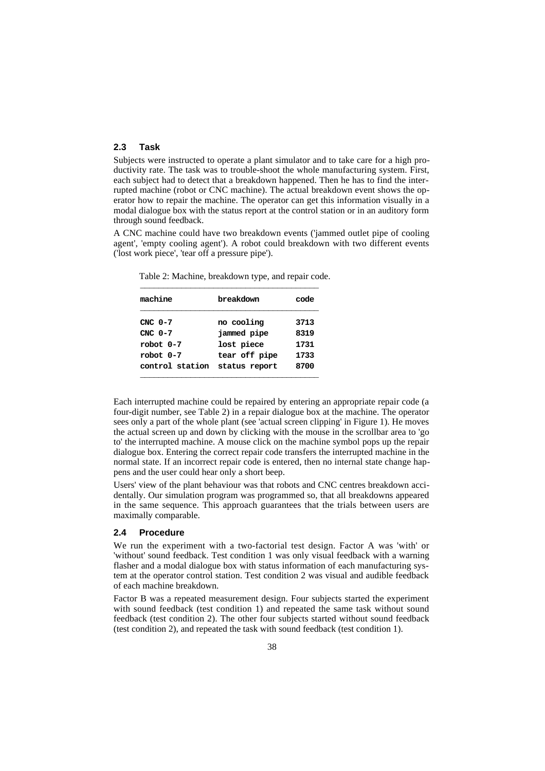## **2.3 Task**

Subjects were instructed to operate a plant simulator and to take care for a high productivity rate. The task was to trouble-shoot the whole manufacturing system. First, each subject had to detect that a breakdown happened. Then he has to find the interrupted machine (robot or CNC machine). The actual breakdown event shows the operator how to repair the machine. The operator can get this information visually in a modal dialogue box with the status report at the control station or in an auditory form through sound feedback.

A CNC machine could have two breakdown events ('jammed outlet pipe of cooling agent', 'empty cooling agent'). A robot could breakdown with two different events ('lost work piece', 'tear off a pressure pipe').

Table 2: Machine, breakdown type, and repair code. **\_\_\_\_\_\_\_\_\_\_\_\_\_\_\_\_\_\_\_\_\_\_\_\_\_\_\_\_\_\_\_\_\_\_\_\_\_\_\_**

| machine         | breakdown     | code |
|-----------------|---------------|------|
| $CNC0-7$        | no cooling    | 3713 |
| $CNC0-7$        | jammed pipe   | 8319 |
| robot 0-7       | lost piece    | 1731 |
| robot 0-7       | tear off pipe | 1733 |
| control station | status report | 8700 |

Each interrupted machine could be repaired by entering an appropriate repair code (a four-digit number, see Table 2) in a repair dialogue box at the machine. The operator sees only a part of the whole plant (see 'actual screen clipping' in Figure 1). He moves the actual screen up and down by clicking with the mouse in the scrollbar area to 'go to' the interrupted machine. A mouse click on the machine symbol pops up the repair dialogue box. Entering the correct repair code transfers the interrupted machine in the normal state. If an incorrect repair code is entered, then no internal state change happens and the user could hear only a short beep.

Users' view of the plant behaviour was that robots and CNC centres breakdown accidentally. Our simulation program was programmed so, that all breakdowns appeared in the same sequence. This approach guarantees that the trials between users are maximally comparable.

#### **2.4 Procedure**

We run the experiment with a two-factorial test design. Factor A was 'with' or 'without' sound feedback. Test condition 1 was only visual feedback with a warning flasher and a modal dialogue box with status information of each manufacturing system at the operator control station. Test condition 2 was visual and audible feedback of each machine breakdown.

Factor B was a repeated measurement design. Four subjects started the experiment with sound feedback (test condition 1) and repeated the same task without sound feedback (test condition 2). The other four subjects started without sound feedback (test condition 2), and repeated the task with sound feedback (test condition 1).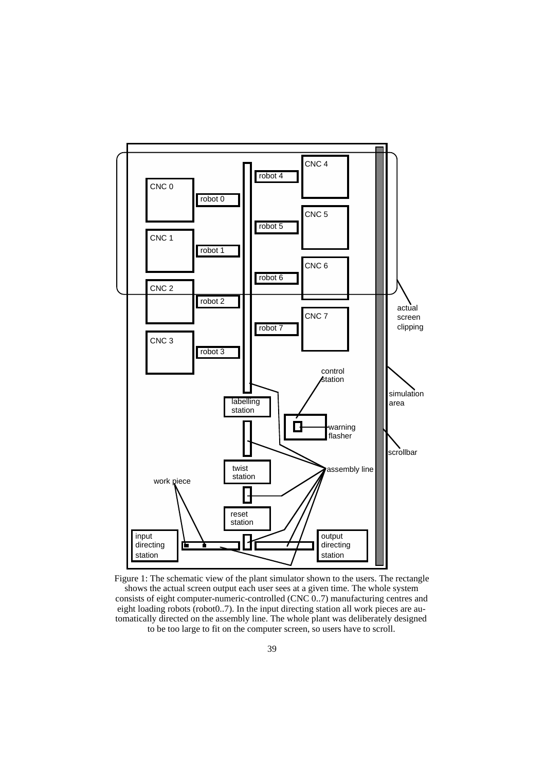

Figure 1: The schematic view of the plant simulator shown to the users. The rectangle shows the actual screen output each user sees at a given time. The whole system consists of eight computer-numeric-controlled (CNC 0..7) manufacturing centres and eight loading robots (robot0..7). In the input directing station all work pieces are automatically directed on the assembly line. The whole plant was deliberately designed to be too large to fit on the computer screen, so users have to scroll.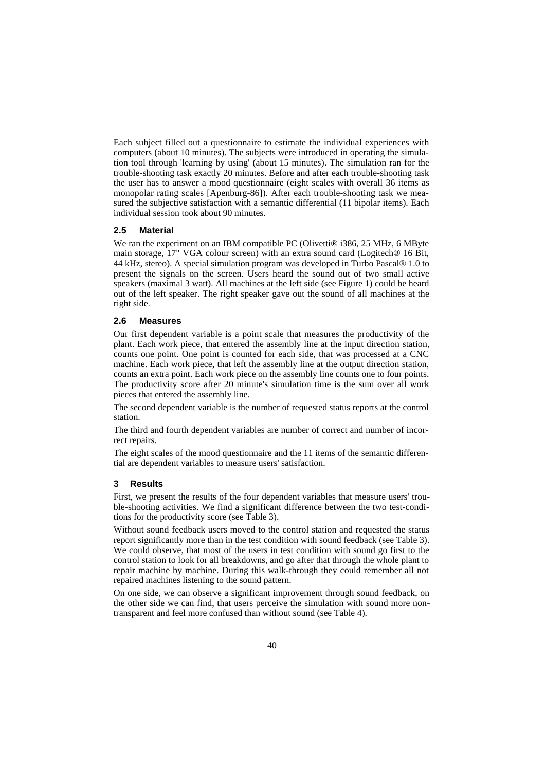Each subject filled out a questionnaire to estimate the individual experiences with computers (about 10 minutes). The subjects were introduced in operating the simulation tool through 'learning by using' (about 15 minutes). The simulation ran for the trouble-shooting task exactly 20 minutes. Before and after each trouble-shooting task the user has to answer a mood questionnaire (eight scales with overall 36 items as monopolar rating scales [Apenburg-86]). After each trouble-shooting task we measured the subjective satisfaction with a semantic differential (11 bipolar items). Each individual session took about 90 minutes.

## **2.5 Material**

We ran the experiment on an IBM compatible PC (Olivetti® i386, 25 MHz, 6 MByte main storage, 17" VGA colour screen) with an extra sound card (Logitech® 16 Bit, 44 kHz, stereo). A special simulation program was developed in Turbo Pascal® 1.0 to present the signals on the screen. Users heard the sound out of two small active speakers (maximal 3 watt). All machines at the left side (see Figure 1) could be heard out of the left speaker. The right speaker gave out the sound of all machines at the right side.

#### **2.6 Measures**

Our first dependent variable is a point scale that measures the productivity of the plant. Each work piece, that entered the assembly line at the input direction station, counts one point. One point is counted for each side, that was processed at a CNC machine. Each work piece, that left the assembly line at the output direction station, counts an extra point. Each work piece on the assembly line counts one to four points. The productivity score after 20 minute's simulation time is the sum over all work pieces that entered the assembly line.

The second dependent variable is the number of requested status reports at the control station.

The third and fourth dependent variables are number of correct and number of incorrect repairs.

The eight scales of the mood questionnaire and the 11 items of the semantic differential are dependent variables to measure users' satisfaction.

#### **3 Results**

First, we present the results of the four dependent variables that measure users' trouble-shooting activities. We find a significant difference between the two test-conditions for the productivity score (see Table 3).

Without sound feedback users moved to the control station and requested the status report significantly more than in the test condition with sound feedback (see Table 3). We could observe, that most of the users in test condition with sound go first to the control station to look for all breakdowns, and go after that through the whole plant to repair machine by machine. During this walk-through they could remember all not repaired machines listening to the sound pattern.

On one side, we can observe a significant improvement through sound feedback, on the other side we can find, that users perceive the simulation with sound more nontransparent and feel more confused than without sound (see Table 4).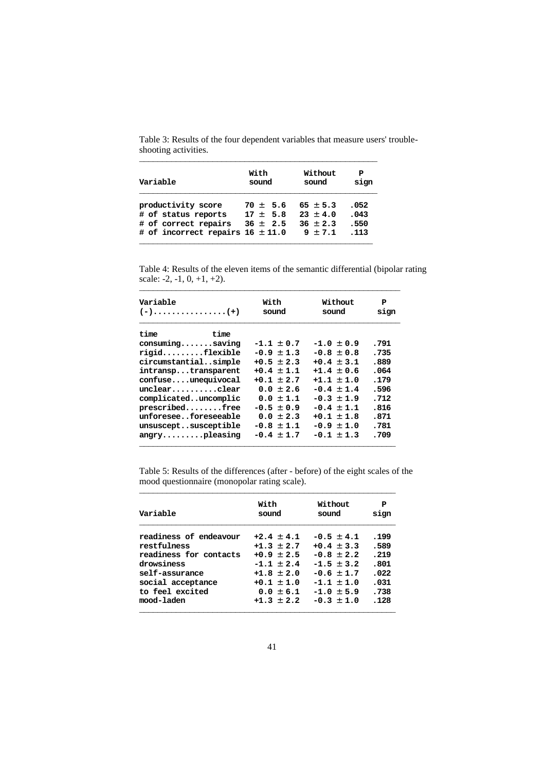| Variable                                                                                                  | With                                         | Without                                                 | P                            |
|-----------------------------------------------------------------------------------------------------------|----------------------------------------------|---------------------------------------------------------|------------------------------|
|                                                                                                           | sound                                        | sound                                                   | sian                         |
| productivity score<br># of status reports<br># of correct repairs<br># of incorrect repairs $16 \pm 11.0$ | $70 \pm 5.6$<br>$17 \pm 5.8$<br>$36 \pm 2.5$ | $65 \pm 5.3$<br>$23 + 4.0$<br>$36 + 2.3$<br>$9 \pm 7.1$ | .052<br>.043<br>.550<br>.113 |

Table 3: Results of the four dependent variables that measure users' troubleshooting activities.

Table 4: Results of the eleven items of the semantic differential (bipolar rating scale:  $-2$ ,  $-1$ ,  $0$ ,  $+1$ ,  $+2$ ).

**\_\_\_\_\_\_\_\_\_\_\_\_\_\_\_\_\_\_\_\_\_\_\_\_\_\_\_\_\_\_\_\_\_\_\_\_\_\_\_\_\_\_\_\_\_\_\_\_\_\_\_\_\_\_\_\_\_**

| Variable<br>$(-)$ (+)                      | With<br>sound  | Without<br>sound | P<br>sign |
|--------------------------------------------|----------------|------------------|-----------|
| time<br>time                               |                |                  |           |
| $consuming$ $saving$                       | $-1.1 \pm 0.7$ | $-1.0 \pm 0.9$   | .791      |
| rigidflexible                              | $-0.9 \pm 1.3$ | $-0.8 \pm 0.8$   | .735      |
| circumstantialsimple                       | $+0.5 \pm 2.3$ | $+0.4 \pm 3.1$   | .889      |
| intransptransparent                        | $+0.4 \pm 1.1$ | $+1.4 \pm 0.6$   | .064      |
| confuseunequivocal                         | $+0.1 \pm 2.7$ | $+1.1 \pm 1.0$   | .179      |
| unclearclear                               | $0.0 \pm 2.6$  | $-0.4 \pm 1.4$   | .596      |
| complicateduncomplic                       | $0.0 \pm 1.1$  | $-0.3 \pm 1.9$   | .712      |
| prescribedfree                             | $-0.5 \pm 0.9$ | $-0.4 \pm 1.1$   | .816      |
| unforeseeforeseeable                       | $0.0 \pm 2.3$  | $+0.1 \pm 1.8$   | .871      |
| unsusceptsusceptible                       | $-0.8 \pm 1.1$ | $-0.9 \pm 1.0$   | .781      |
| $\text{angry} \dots \dots \text{pleasing}$ | $-0.4 \pm 1.7$ | $-0.1 \pm 1.3$   | .709      |

Table 5: Results of the differences (after - before) of the eight scales of the mood questionnaire (monopolar rating scale).

| Variable               | With<br>sound  | Without<br>sound | P<br>sign |
|------------------------|----------------|------------------|-----------|
| readiness of endeavour | $+2.4 + 4.1$   | $-0.5 + 4.1$     | .199      |
| restfulness            | $+1.3 + 2.7$   | $+0.4 \pm 3.3$   | .589      |
| readiness for contacts | $+0.9 + 2.5$   | $-0.8 + 2.2$     | .219      |
| drowsiness             | $-1.1 + 2.4$   | $-1.5 + 3.2$     | .801      |
| self-assurance         | $+1.8 + 2.0$   | $-0.6 + 1.7$     | .022      |
| social acceptance      | $+0.1 \pm 1.0$ | $-1.1 + 1.0$     | .031      |
| to feel excited        | $0.0 \pm 6.1$  | $-1.0 + 5.9$     | .738      |
| mood-laden             | $+1.3 + 2.2$   | $-0.3 + 1.0$     | .128      |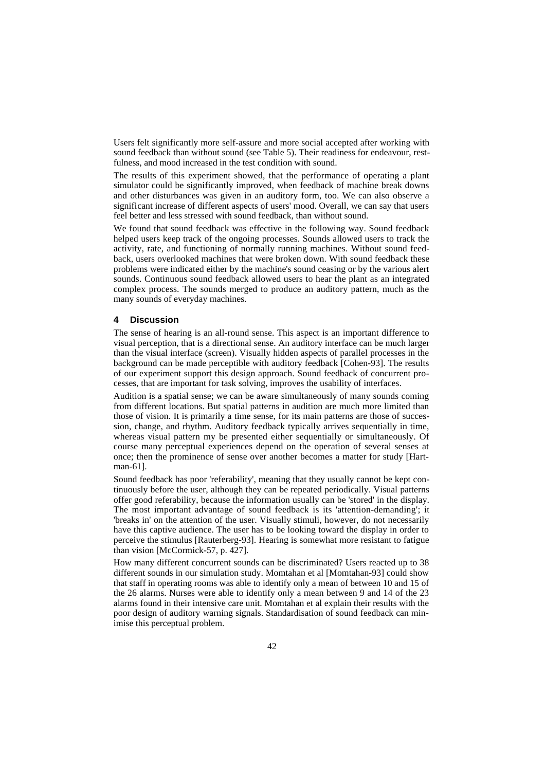Users felt significantly more self-assure and more social accepted after working with sound feedback than without sound (see Table 5). Their readiness for endeavour, restfulness, and mood increased in the test condition with sound.

The results of this experiment showed, that the performance of operating a plant simulator could be significantly improved, when feedback of machine break downs and other disturbances was given in an auditory form, too. We can also observe a significant increase of different aspects of users' mood. Overall, we can say that users feel better and less stressed with sound feedback, than without sound.

We found that sound feedback was effective in the following way. Sound feedback helped users keep track of the ongoing processes. Sounds allowed users to track the activity, rate, and functioning of normally running machines. Without sound feedback, users overlooked machines that were broken down. With sound feedback these problems were indicated either by the machine's sound ceasing or by the various alert sounds. Continuous sound feedback allowed users to hear the plant as an integrated complex process. The sounds merged to produce an auditory pattern, much as the many sounds of everyday machines.

## **4 Discussion**

The sense of hearing is an all-round sense. This aspect is an important difference to visual perception, that is a directional sense. An auditory interface can be much larger than the visual interface (screen). Visually hidden aspects of parallel processes in the background can be made perceptible with auditory feedback [Cohen-93]. The results of our experiment support this design approach. Sound feedback of concurrent processes, that are important for task solving, improves the usability of interfaces.

Audition is a spatial sense; we can be aware simultaneously of many sounds coming from different locations. But spatial patterns in audition are much more limited than those of vision. It is primarily a time sense, for its main patterns are those of succession, change, and rhythm. Auditory feedback typically arrives sequentially in time, whereas visual pattern my be presented either sequentially or simultaneously. Of course many perceptual experiences depend on the operation of several senses at once; then the prominence of sense over another becomes a matter for study [Hartman-61].

Sound feedback has poor 'referability', meaning that they usually cannot be kept continuously before the user, although they can be repeated periodically. Visual patterns offer good referability, because the information usually can be 'stored' in the display. The most important advantage of sound feedback is its 'attention-demanding'; it 'breaks in' on the attention of the user. Visually stimuli, however, do not necessarily have this captive audience. The user has to be looking toward the display in order to perceive the stimulus [Rauterberg-93]. Hearing is somewhat more resistant to fatigue than vision [McCormick-57, p. 427].

How many different concurrent sounds can be discriminated? Users reacted up to 38 different sounds in our simulation study. Momtahan et al [Momtahan-93] could show that staff in operating rooms was able to identify only a mean of between 10 and 15 of the 26 alarms. Nurses were able to identify only a mean between 9 and 14 of the 23 alarms found in their intensive care unit. Momtahan et al explain their results with the poor design of auditory warning signals. Standardisation of sound feedback can minimise this perceptual problem.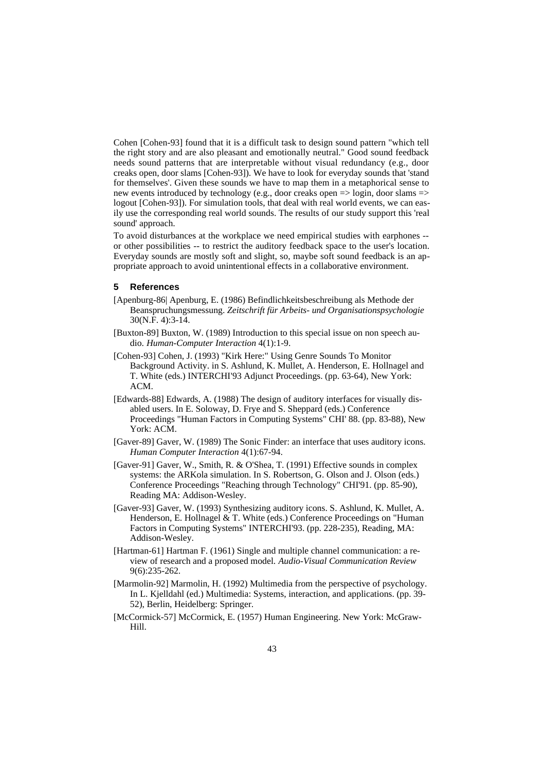Cohen [Cohen-93] found that it is a difficult task to design sound pattern "which tell the right story and are also pleasant and emotionally neutral." Good sound feedback needs sound patterns that are interpretable without visual redundancy (e.g., door creaks open, door slams [Cohen-93]). We have to look for everyday sounds that 'stand for themselves'. Given these sounds we have to map them in a metaphorical sense to new events introduced by technology (e.g., door creaks open => login, door slams => logout [Cohen-93]). For simulation tools, that deal with real world events, we can easily use the corresponding real world sounds. The results of our study support this 'real sound' approach.

To avoid disturbances at the workplace we need empirical studies with earphones - or other possibilities -- to restrict the auditory feedback space to the user's location. Everyday sounds are mostly soft and slight, so, maybe soft sound feedback is an appropriate approach to avoid unintentional effects in a collaborative environment.

#### **5 References**

- [Apenburg-86| Apenburg, E. (1986) Befindlichkeitsbeschreibung als Methode der Beanspruchungsmessung. *Zeitschrift für Arbeits- und Organisationspsychologie* 30(N.F. 4):3-14.
- [Buxton-89] Buxton, W. (1989) Introduction to this special issue on non speech audio. *Human-Computer Interaction* 4(1):1-9.
- [Cohen-93] Cohen, J. (1993) "Kirk Here:" Using Genre Sounds To Monitor Background Activity. in S. Ashlund, K. Mullet, A. Henderson, E. Hollnagel and T. White (eds.) INTERCHI'93 Adjunct Proceedings. (pp. 63-64), New York: ACM.
- [Edwards-88] Edwards, A. (1988) The design of auditory interfaces for visually disabled users. In E. Soloway, D. Frye and S. Sheppard (eds.) Conference Proceedings "Human Factors in Computing Systems" CHI' 88. (pp. 83-88), New York: ACM.
- [Gaver-89] Gaver, W. (1989) The Sonic Finder: an interface that uses auditory icons. *Human Computer Interaction* 4(1):67-94.
- [Gaver-91] Gaver, W., Smith, R. & O'Shea, T. (1991) Effective sounds in complex systems: the ARKola simulation. In S. Robertson, G. Olson and J. Olson (eds.) Conference Proceedings "Reaching through Technology" CHI'91. (pp. 85-90), Reading MA: Addison-Wesley.
- [Gaver-93] Gaver, W. (1993) Synthesizing auditory icons. S. Ashlund, K. Mullet, A. Henderson, E. Hollnagel & T. White (eds.) Conference Proceedings on "Human Factors in Computing Systems" INTERCHI'93. (pp. 228-235), Reading, MA: Addison-Wesley.
- [Hartman-61] Hartman F. (1961) Single and multiple channel communication: a review of research and a proposed model. *Audio-Visual Communication Review* 9(6):235-262.
- [Marmolin-92] Marmolin, H. (1992) Multimedia from the perspective of psychology. In L. Kjelldahl (ed.) Multimedia: Systems, interaction, and applications. (pp. 39- 52), Berlin, Heidelberg: Springer.
- [McCormick-57] McCormick, E. (1957) Human Engineering. New York: McGraw-Hill.